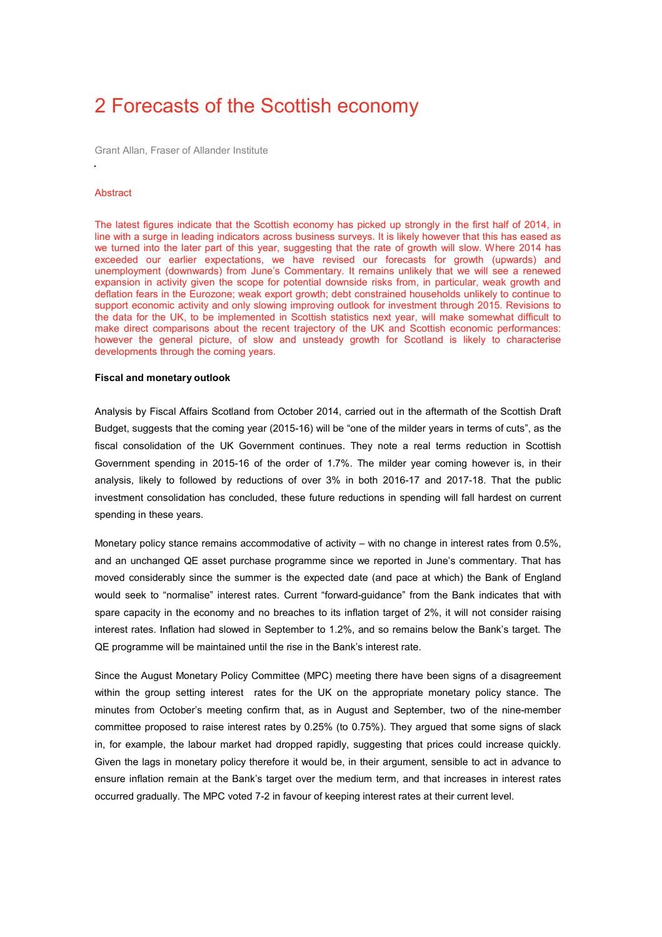# 2 Forecasts of the Scottish economy

Grant Allan, Fraser of Allander Institute

### **Abstract**

The latest figures indicate that the Scottish economy has picked up strongly in the first half of 2014, in line with a surge in leading indicators across business surveys. It is likely however that this has eased as we turned into the later part of this year, suggesting that the rate of growth will slow. Where 2014 has exceeded our earlier expectations, we have revised our forecasts for growth (upwards) and unemployment (downwards) from June's Commentary. It remains unlikely that we will see a renewed expansion in activity given the scope for potential downside risks from, in particular, weak growth and deflation fears in the Eurozone; weak export growth; debt constrained households unlikely to continue to support economic activity and only slowing improving outlook for investment through 2015. Revisions to the data for the UK, to be implemented in Scottish statistics next year, will make somewhat difficult to make direct comparisons about the recent trajectory of the UK and Scottish economic performances: however the general picture, of slow and unsteady growth for Scotland is likely to characterise developments through the coming years.

#### **Fiscal and monetary outlook**

Analysis by Fiscal Affairs Scotland from October 2014, carried out in the aftermath of the Scottish Draft Budget, suggests that the coming year (2015-16) will be "one of the milder years in terms of cuts", as the fiscal consolidation of the UK Government continues. They note a real terms reduction in Scottish Government spending in 2015-16 of the order of 1.7%. The milder year coming however is, in their analysis, likely to followed by reductions of over 3% in both 2016-17 and 2017-18. That the public investment consolidation has concluded, these future reductions in spending will fall hardest on current spending in these years.

Monetary policy stance remains accommodative of activity – with no change in interest rates from 0.5%, and an unchanged QE asset purchase programme since we reported in June's commentary. That has moved considerably since the summer is the expected date (and pace at which) the Bank of England would seek to "normalise" interest rates. Current "forward-guidance" from the Bank indicates that with spare capacity in the economy and no breaches to its inflation target of 2%, it will not consider raising interest rates. Inflation had slowed in September to 1.2%, and so remains below the Bank's target. The QE programme will be maintained until the rise in the Bank's interest rate.

Since the August Monetary Policy Committee (MPC) meeting there have been signs of a disagreement within the group setting interest rates for the UK on the appropriate monetary policy stance. The minutes from October's meeting confirm that, as in August and September, two of the nine-member committee proposed to raise interest rates by 0.25% (to 0.75%). They argued that some signs of slack in, for example, the labour market had dropped rapidly, suggesting that prices could increase quickly. Given the lags in monetary policy therefore it would be, in their argument, sensible to act in advance to ensure inflation remain at the Bank's target over the medium term, and that increases in interest rates occurred gradually. The MPC voted 7-2 in favour of keeping interest rates at their current level.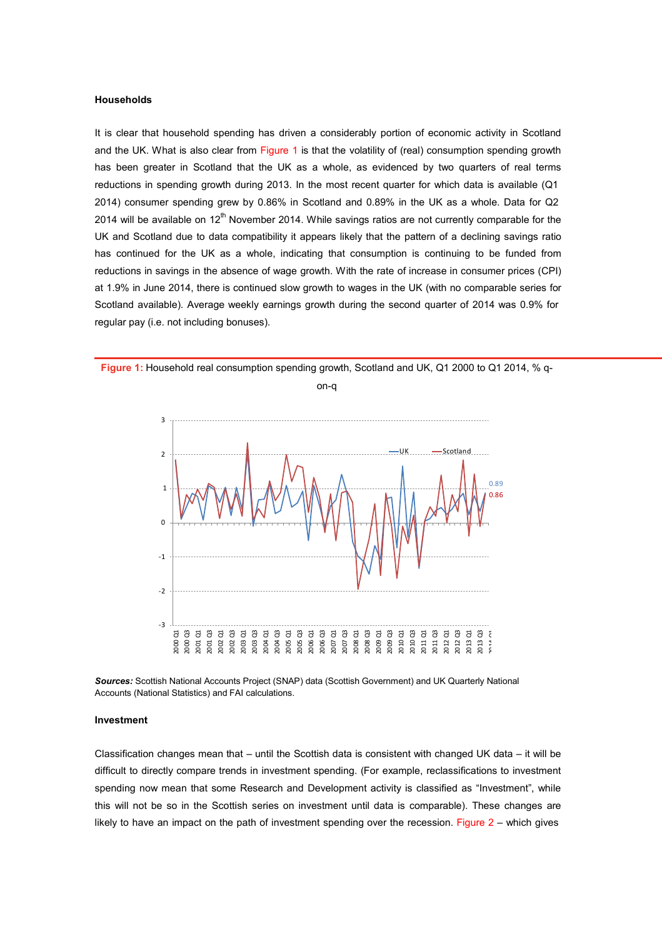# **Households**

It is clear that household spending has driven a considerably portion of economic activity in Scotland and the UK. What is also clear from Figure 1 is that the volatility of (real) consumption spending growth has been greater in Scotland that the UK as a whole, as evidenced by two quarters of real terms reductions in spending growth during 2013. In the most recent quarter for which data is available (Q1 2014) consumer spending grew by 0.86% in Scotland and 0.89% in the UK as a whole. Data for Q2 2014 will be available on 12<sup>th</sup> November 2014. While savings ratios are not currently comparable for the UK and Scotland due to data compatibility it appears likely that the pattern of a declining savings ratio has continued for the UK as a whole, indicating that consumption is continuing to be funded from reductions in savings in the absence of wage growth. With the rate of increase in consumer prices (CPI) at 1.9% in June 2014, there is continued slow growth to wages in the UK (with no comparable series for Scotland available). Average weekly earnings growth during the second quarter of 2014 was 0.9% for regular pay (i.e. not including bonuses).



**Figure 1:** Household real consumption spending growth, Scotland and UK, Q1 2000 to Q1 2014, % q-

on-q



### **Investment**

Classification changes mean that – until the Scottish data is consistent with changed UK data – it will be difficult to directly compare trends in investment spending. (For example, reclassifications to investment spending now mean that some Research and Development activity is classified as "Investment", while this will not be so in the Scottish series on investment until data is comparable). These changes are likely to have an impact on the path of investment spending over the recession. Figure 2 – which gives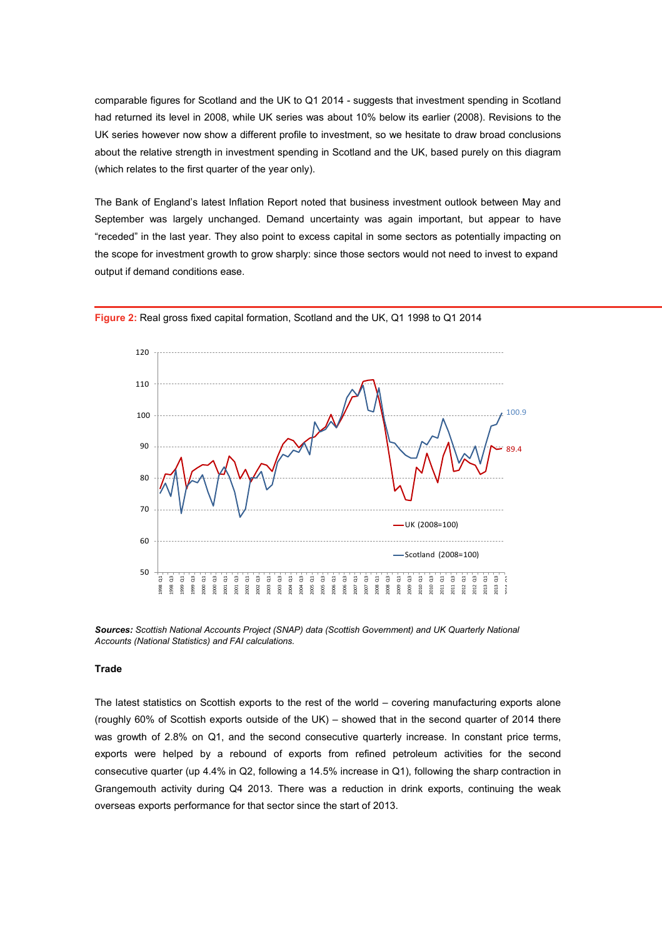comparable figures for Scotland and the UK to Q1 2014 - suggests that investment spending in Scotland had returned its level in 2008, while UK series was about 10% below its earlier (2008). Revisions to the UK series however now show a different profile to investment, so we hesitate to draw broad conclusions about the relative strength in investment spending in Scotland and the UK, based purely on this diagram (which relates to the first quarter of the year only).

The Bank of England's latest Inflation Report noted that business investment outlook between May and September was largely unchanged. Demand uncertainty was again important, but appear to have "receded" in the last year. They also point to excess capital in some sectors as potentially impacting on the scope for investment growth to grow sharply: since those sectors would not need to invest to expand output if demand conditions ease.



**Figure 2:** Real gross fixed capital formation, Scotland and the UK, Q1 1998 to Q1 2014

*Sources: Scottish National Accounts Project (SNAP) data (Scottish Government) and UK Quarterly National Accounts (National Statistics) and FAI calculations.*

#### **Trade**

The latest statistics on Scottish exports to the rest of the world – covering manufacturing exports alone (roughly 60% of Scottish exports outside of the UK) – showed that in the second quarter of 2014 there was growth of 2.8% on Q1, and the second consecutive quarterly increase. In constant price terms, exports were helped by a rebound of exports from refined petroleum activities for the second consecutive quarter (up 4.4% in Q2, following a 14.5% increase in Q1), following the sharp contraction in Grangemouth activity during Q4 2013. There was a reduction in drink exports, continuing the weak overseas exports performance for that sector since the start of 2013.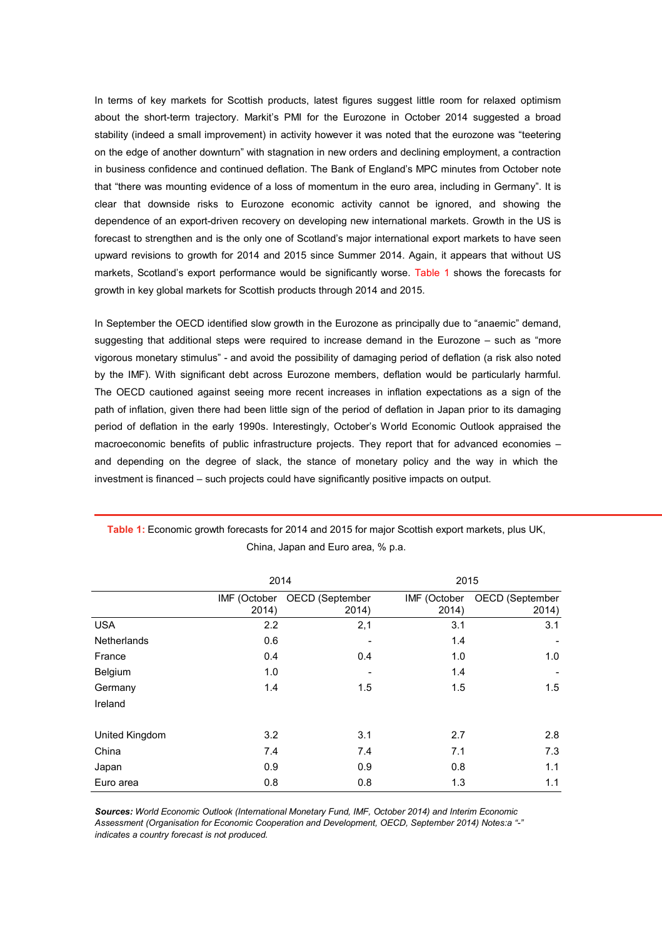In terms of key markets for Scottish products, latest figures suggest little room for relaxed optimism about the short-term trajectory. Markit's PMI for the Eurozone in October 2014 suggested a broad stability (indeed a small improvement) in activity however it was noted that the eurozone was "teetering on the edge of another downturn" with stagnation in new orders and declining employment, a contraction in business confidence and continued deflation. The Bank of England's MPC minutes from October note that "there was mounting evidence of a loss of momentum in the euro area, including in Germany". It is clear that downside risks to Eurozone economic activity cannot be ignored, and showing the dependence of an export-driven recovery on developing new international markets. Growth in the US is forecast to strengthen and is the only one of Scotland's major international export markets to have seen upward revisions to growth for 2014 and 2015 since Summer 2014. Again, it appears that without US markets, Scotland's export performance would be significantly worse. Table 1 shows the forecasts for growth in key global markets for Scottish products through 2014 and 2015.

In September the OECD identified slow growth in the Eurozone as principally due to "anaemic" demand, suggesting that additional steps were required to increase demand in the Eurozone – such as "more vigorous monetary stimulus" - and avoid the possibility of damaging period of deflation (a risk also noted by the IMF). With significant debt across Eurozone members, deflation would be particularly harmful. The OECD cautioned against seeing more recent increases in inflation expectations as a sign of the path of inflation, given there had been little sign of the period of deflation in Japan prior to its damaging period of deflation in the early 1990s. Interestingly, October's World Economic Outlook appraised the macroeconomic benefits of public infrastructure projects. They report that for advanced economies – and depending on the degree of slack, the stance of monetary policy and the way in which the investment is financed – such projects could have significantly positive impacts on output.

|                | 2014                  |                          |                       | 2015                     |  |
|----------------|-----------------------|--------------------------|-----------------------|--------------------------|--|
|                | IMF (October<br>2014) | OECD (September<br>2014) | IMF (October<br>2014) | OECD (September<br>2014) |  |
| <b>USA</b>     | 2.2                   | 2,1                      | 3.1                   | 3.1                      |  |
| Netherlands    | 0.6                   |                          | 1.4                   |                          |  |
| France         | 0.4                   | 0.4                      | 1.0                   | 1.0                      |  |
| Belgium        | 1.0                   |                          | 1.4                   |                          |  |
| Germany        | 1.4                   | 1.5                      | 1.5                   | 1.5                      |  |
| Ireland        |                       |                          |                       |                          |  |
| United Kingdom | 3.2                   | 3.1                      | 2.7                   | 2.8                      |  |
| China          | 7.4                   | 7.4                      | 7.1                   | 7.3                      |  |
| Japan          | 0.9                   | 0.9                      | 0.8                   | 1.1                      |  |
| Euro area      | 0.8                   | 0.8                      | 1.3                   | 1.1                      |  |

**Table 1:** Economic growth forecasts for 2014 and 2015 for major Scottish export markets, plus UK, China, Japan and Euro area, % p.a.

*Sources: World Economic Outlook (International Monetary Fund, IMF, October 2014) and Interim Economic Assessment (Organisation for Economic Cooperation and Development, OECD, September 2014) Notes:a "-" indicates a country forecast is not produced.*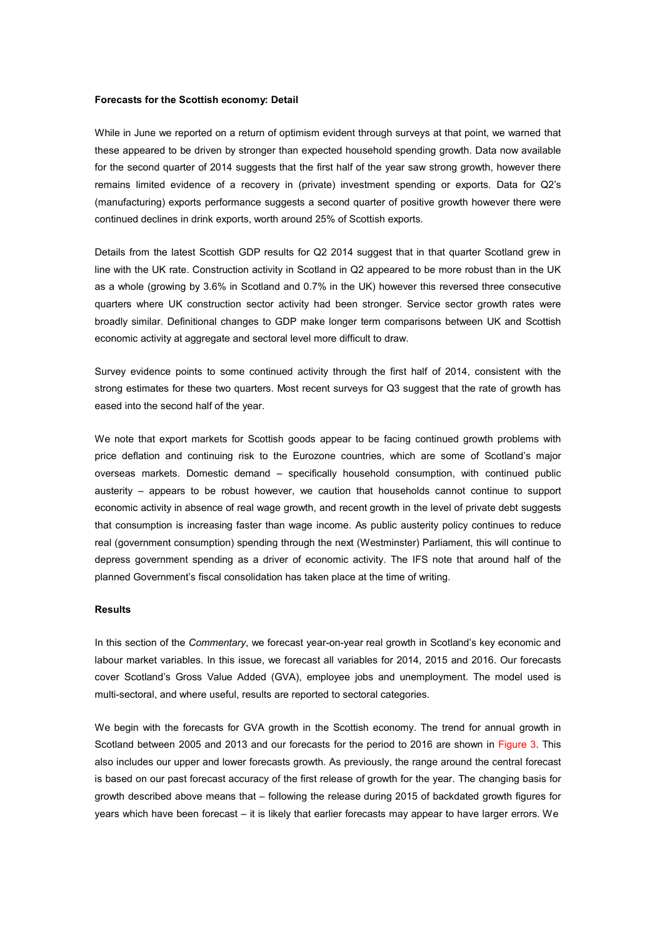# **Forecasts for the Scottish economy: Detail**

While in June we reported on a return of optimism evident through surveys at that point, we warned that these appeared to be driven by stronger than expected household spending growth. Data now available for the second quarter of 2014 suggests that the first half of the year saw strong growth, however there remains limited evidence of a recovery in (private) investment spending or exports. Data for Q2's (manufacturing) exports performance suggests a second quarter of positive growth however there were continued declines in drink exports, worth around 25% of Scottish exports.

Details from the latest Scottish GDP results for Q2 2014 suggest that in that quarter Scotland grew in line with the UK rate. Construction activity in Scotland in Q2 appeared to be more robust than in the UK as a whole (growing by 3.6% in Scotland and 0.7% in the UK) however this reversed three consecutive quarters where UK construction sector activity had been stronger. Service sector growth rates were broadly similar. Definitional changes to GDP make longer term comparisons between UK and Scottish economic activity at aggregate and sectoral level more difficult to draw.

Survey evidence points to some continued activity through the first half of 2014, consistent with the strong estimates for these two quarters. Most recent surveys for Q3 suggest that the rate of growth has eased into the second half of the year.

We note that export markets for Scottish goods appear to be facing continued growth problems with price deflation and continuing risk to the Eurozone countries, which are some of Scotland's major overseas markets. Domestic demand – specifically household consumption, with continued public austerity – appears to be robust however, we caution that households cannot continue to support economic activity in absence of real wage growth, and recent growth in the level of private debt suggests that consumption is increasing faster than wage income. As public austerity policy continues to reduce real (government consumption) spending through the next (Westminster) Parliament, this will continue to depress government spending as a driver of economic activity. The IFS note that around half of the planned Government's fiscal consolidation has taken place at the time of writing.

# **Results**

In this section of the *Commentary*, we forecast year-on-year real growth in Scotland's key economic and labour market variables. In this issue, we forecast all variables for 2014, 2015 and 2016. Our forecasts cover Scotland's Gross Value Added (GVA), employee jobs and unemployment. The model used is multi-sectoral, and where useful, results are reported to sectoral categories.

We begin with the forecasts for GVA growth in the Scottish economy. The trend for annual growth in Scotland between 2005 and 2013 and our forecasts for the period to 2016 are shown in Figure 3. This also includes our upper and lower forecasts growth. As previously, the range around the central forecast is based on our past forecast accuracy of the first release of growth for the year. The changing basis for growth described above means that – following the release during 2015 of backdated growth figures for years which have been forecast – it is likely that earlier forecasts may appear to have larger errors. We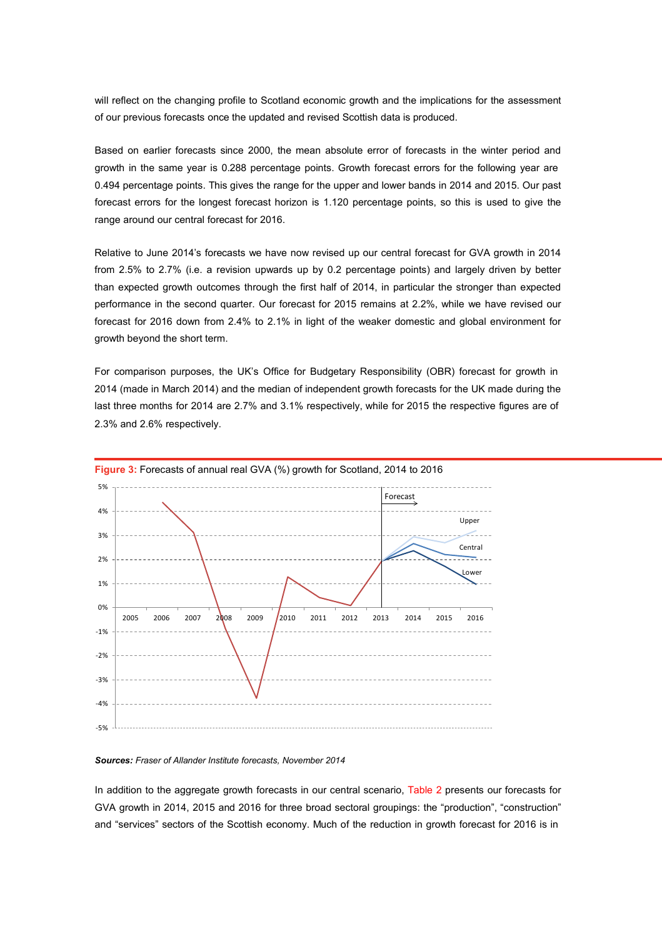will reflect on the changing profile to Scotland economic growth and the implications for the assessment of our previous forecasts once the updated and revised Scottish data is produced.

Based on earlier forecasts since 2000, the mean absolute error of forecasts in the winter period and growth in the same year is 0.288 percentage points. Growth forecast errors for the following year are 0.494 percentage points. This gives the range for the upper and lower bands in 2014 and 2015. Our past forecast errors for the longest forecast horizon is 1.120 percentage points, so this is used to give the range around our central forecast for 2016.

Relative to June 2014's forecasts we have now revised up our central forecast for GVA growth in 2014 from 2.5% to 2.7% (i.e. a revision upwards up by 0.2 percentage points) and largely driven by better than expected growth outcomes through the first half of 2014, in particular the stronger than expected performance in the second quarter. Our forecast for 2015 remains at 2.2%, while we have revised our forecast for 2016 down from 2.4% to 2.1% in light of the weaker domestic and global environment for growth beyond the short term.

For comparison purposes, the UK's Office for Budgetary Responsibility (OBR) forecast for growth in 2014 (made in March 2014) and the median of independent growth forecasts for the UK made during the last three months for 2014 are 2.7% and 3.1% respectively, while for 2015 the respective figures are of 2.3% and 2.6% respectively.



#### *Sources: Fraser of Allander Institute forecasts, November 2014*

In addition to the aggregate growth forecasts in our central scenario, Table 2 presents our forecasts for GVA growth in 2014, 2015 and 2016 for three broad sectoral groupings: the "production", "construction" and "services" sectors of the Scottish economy. Much of the reduction in growth forecast for 2016 is in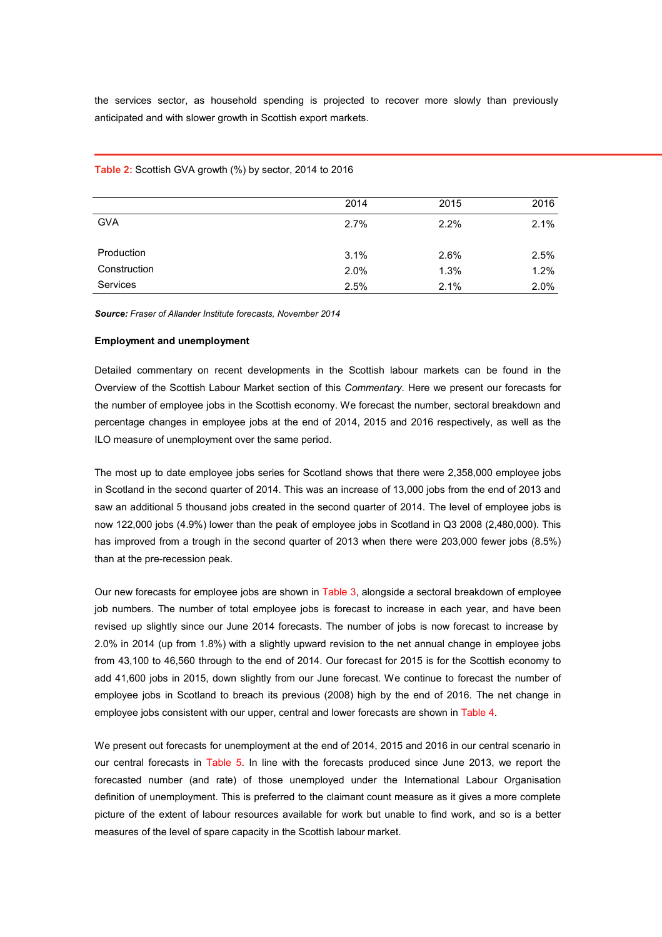the services sector, as household spending is projected to recover more slowly than previously anticipated and with slower growth in Scottish export markets.

|                 | 2014 | 2015 | 2016 |
|-----------------|------|------|------|
| <b>GVA</b>      | 2.7% | 2.2% | 2.1% |
| Production      | 3.1% | 2.6% | 2.5% |
| Construction    | 2.0% | 1.3% | 1.2% |
| <b>Services</b> | 2.5% | 2.1% | 2.0% |

**Table 2:** Scottish GVA growth (%) by sector, 2014 to 2016

*Source: Fraser of Allander Institute forecasts, November 2014*

# **Employment and unemployment**

Detailed commentary on recent developments in the Scottish labour markets can be found in the Overview of the Scottish Labour Market section of this *Commentary.* Here we present our forecasts for the number of employee jobs in the Scottish economy. We forecast the number, sectoral breakdown and percentage changes in employee jobs at the end of 2014, 2015 and 2016 respectively, as well as the ILO measure of unemployment over the same period.

The most up to date employee jobs series for Scotland shows that there were 2,358,000 employee jobs in Scotland in the second quarter of 2014. This was an increase of 13,000 jobs from the end of 2013 and saw an additional 5 thousand jobs created in the second quarter of 2014. The level of employee jobs is now 122,000 jobs (4.9%) lower than the peak of employee jobs in Scotland in Q3 2008 (2,480,000). This has improved from a trough in the second quarter of 2013 when there were 203,000 fewer jobs (8.5%) than at the pre-recession peak.

Our new forecasts for employee jobs are shown in Table 3, alongside a sectoral breakdown of employee job numbers. The number of total employee jobs is forecast to increase in each year, and have been revised up slightly since our June 2014 forecasts. The number of jobs is now forecast to increase by 2.0% in 2014 (up from 1.8%) with a slightly upward revision to the net annual change in employee jobs from 43,100 to 46,560 through to the end of 2014. Our forecast for 2015 is for the Scottish economy to add 41,600 jobs in 2015, down slightly from our June forecast. We continue to forecast the number of employee jobs in Scotland to breach its previous (2008) high by the end of 2016. The net change in employee jobs consistent with our upper, central and lower forecasts are shown in Table 4.

We present out forecasts for unemployment at the end of 2014, 2015 and 2016 in our central scenario in our central forecasts in Table 5. In line with the forecasts produced since June 2013, we report the forecasted number (and rate) of those unemployed under the International Labour Organisation definition of unemployment. This is preferred to the claimant count measure as it gives a more complete picture of the extent of labour resources available for work but unable to find work, and so is a better measures of the level of spare capacity in the Scottish labour market.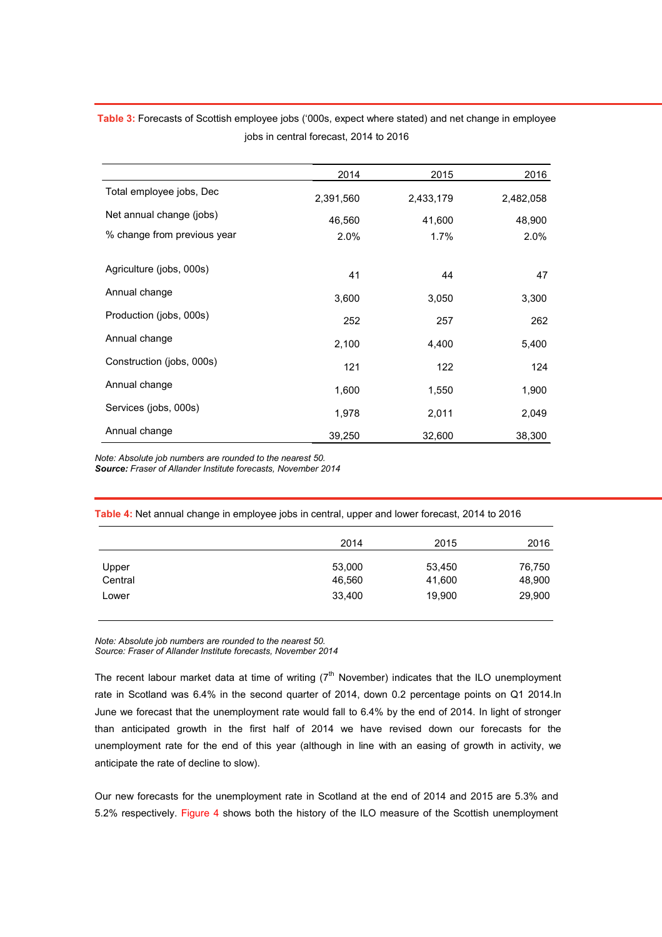|                             | 2014      | 2015      | 2016      |
|-----------------------------|-----------|-----------|-----------|
| Total employee jobs, Dec    | 2,391,560 | 2,433,179 | 2,482,058 |
| Net annual change (jobs)    | 46,560    | 41,600    | 48,900    |
| % change from previous year | 2.0%      | $1.7\%$   | 2.0%      |
|                             |           |           |           |
| Agriculture (jobs, 000s)    | 41        | 44        | 47        |
| Annual change               | 3,600     | 3,050     | 3,300     |
| Production (jobs, 000s)     | 252       | 257       | 262       |
| Annual change               | 2,100     | 4,400     | 5,400     |
| Construction (jobs, 000s)   | 121       | 122       | 124       |
| Annual change               | 1,600     | 1,550     | 1,900     |
| Services (jobs, 000s)       | 1,978     | 2,011     | 2,049     |
| Annual change               | 39,250    | 32,600    | 38,300    |

**Table 3:** Forecasts of Scottish employee jobs ('000s, expect where stated) and net change in employee jobs in central forecast, 2014 to 2016

*Note: Absolute job numbers are rounded to the nearest 50.*

*Source: Fraser of Allander Institute forecasts, November 2014*

**Table 4:** Net annual change in employee jobs in central, upper and lower forecast, 2014 to 2016

|         | 2014   | 2015   | 2016   |
|---------|--------|--------|--------|
| Upper   | 53,000 | 53,450 | 76,750 |
| Central | 46,560 | 41,600 | 48,900 |
| Lower   | 33,400 | 19,900 | 29,900 |

*Note: Absolute job numbers are rounded to the nearest 50. Source: Fraser of Allander Institute forecasts, November 2014*

The recent labour market data at time of writing  $(7<sup>th</sup>$  November) indicates that the ILO unemployment rate in Scotland was 6.4% in the second quarter of 2014, down 0.2 percentage points on Q1 2014.In June we forecast that the unemployment rate would fall to 6.4% by the end of 2014. In light of stronger than anticipated growth in the first half of 2014 we have revised down our forecasts for the unemployment rate for the end of this year (although in line with an easing of growth in activity, we anticipate the rate of decline to slow).

Our new forecasts for the unemployment rate in Scotland at the end of 2014 and 2015 are 5.3% and 5.2% respectively. Figure 4 shows both the history of the ILO measure of the Scottish unemployment